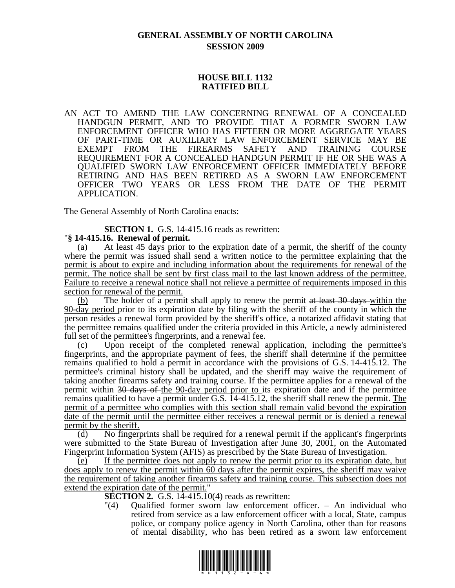## **GENERAL ASSEMBLY OF NORTH CAROLINA SESSION 2009**

## **HOUSE BILL 1132 RATIFIED BILL**

AN ACT TO AMEND THE LAW CONCERNING RENEWAL OF A CONCEALED HANDGUN PERMIT, AND TO PROVIDE THAT A FORMER SWORN LAW ENFORCEMENT OFFICER WHO HAS FIFTEEN OR MORE AGGREGATE YEARS OF PART-TIME OR AUXILIARY LAW ENFORCEMENT SERVICE MAY BE EXEMPT FROM THE FIREARMS SAFETY AND TRAINING COURSE REQUIREMENT FOR A CONCEALED HANDGUN PERMIT IF HE OR SHE WAS A QUALIFIED SWORN LAW ENFORCEMENT OFFICER IMMEDIATELY BEFORE RETIRING AND HAS BEEN RETIRED AS A SWORN LAW ENFORCEMENT OFFICER TWO YEARS OR LESS FROM THE DATE OF THE PERMIT APPLICATION.

The General Assembly of North Carolina enacts:

**SECTION 1.** G.S. 14-415.16 reads as rewritten: "**§ 14-415.16. Renewal of permit.** 

(a) At least 45 days prior to the expiration date of a permit, the sheriff of the county where the permit was issued shall send a written notice to the permittee explaining that the permit is about to expire and including information about the requirements for renewal of the permit. The notice shall be sent by first class mail to the last known address of the permittee. Failure to receive a renewal notice shall not relieve a permittee of requirements imposed in this section for renewal of the permit.

(b) The holder of a permit shall apply to renew the permit at least 30 days within the 90-day period prior to its expiration date by filing with the sheriff of the county in which the person resides a renewal form provided by the sheriff's office, a notarized affidavit stating that the permittee remains qualified under the criteria provided in this Article, a newly administered full set of the permittee's fingerprints, and a renewal fee.

(c) Upon receipt of the completed renewal application, including the permittee's fingerprints, and the appropriate payment of fees, the sheriff shall determine if the permittee remains qualified to hold a permit in accordance with the provisions of G.S. 14-415.12. The permittee's criminal history shall be updated, and the sheriff may waive the requirement of taking another firearms safety and training course. If the permittee applies for a renewal of the permit within 30 days of the 90-day period prior to its expiration date and if the permittee remains qualified to have a permit under G.S. 14-415.12, the sheriff shall renew the permit. The permit of a permittee who complies with this section shall remain valid beyond the expiration date of the permit until the permittee either receives a renewal permit or is denied a renewal permit by the sheriff.

(d) No fingerprints shall be required for a renewal permit if the applicant's fingerprints were submitted to the State Bureau of Investigation after June 30, 2001, on the Automated Fingerprint Information System (AFIS) as prescribed by the State Bureau of Investigation.

(e) If the permittee does not apply to renew the permit prior to its expiration date, but does apply to renew the permit within 60 days after the permit expires, the sheriff may waive the requirement of taking another firearms safety and training course. This subsection does not extend the expiration date of the permit."

**SECTION 2.** G.S. 14-415.10(4) reads as rewritten:

"(4) Qualified former sworn law enforcement officer. – An individual who retired from service as a law enforcement officer with a local, State, campus police, or company police agency in North Carolina, other than for reasons of mental disability, who has been retired as a sworn law enforcement